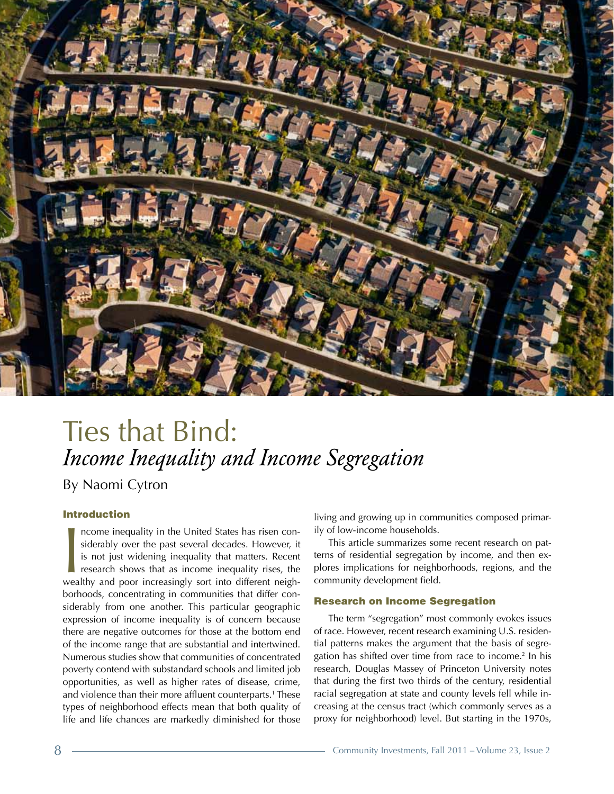

## Ties that Bind: *Income Inequality and Income Segregation*  By Naomi Cytron

### Introduction

Income inequality in the United States has risen considerably over the past several decades. However, it is not just widening inequality that matters. Recent research shows that as income inequality rises, the wealthy and ncome inequality in the United States has risen considerably over the past several decades. However, it is not just widening inequality that matters. Recent research shows that as income inequality rises, the borhoods, concentrating in communities that differ considerably from one another. This particular geographic expression of income inequality is of concern because there are negative outcomes for those at the bottom end of the income range that are substantial and intertwined. Numerous studies show that communities of concentrated poverty contend with substandard schools and limited job opportunities, as well as higher rates of disease, crime, and violence than their more affluent counterparts.<sup>1</sup> These types of neighborhood effects mean that both quality of life and life chances are markedly diminished for those

living and growing up in communities composed primarily of low-income households.

This article summarizes some recent research on patterns of residential segregation by income, and then explores implications for neighborhoods, regions, and the community development field.

#### Research on Income Segregation

The term "segregation" most commonly evokes issues of race. However, recent research examining U.S. residential patterns makes the argument that the basis of segregation has shifted over time from race to income.<sup>2</sup> In his research, Douglas Massey of Princeton University notes that during the first two thirds of the century, residential racial segregation at state and county levels fell while increasing at the census tract (which commonly serves as a proxy for neighborhood) level. But starting in the 1970s,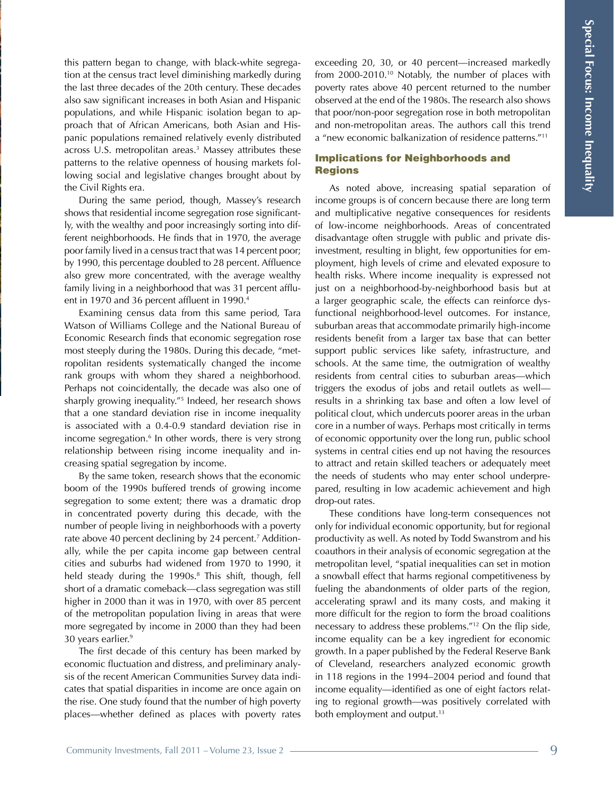this pattern began to change, with black-white segregation at the census tract level diminishing markedly during the last three decades of the 20th century. These decades also saw significant increases in both Asian and Hispanic populations, and while Hispanic isolation began to approach that of African Americans, both Asian and Hispanic populations remained relatively evenly distributed across U.S. metropolitan areas.3 Massey attributes these patterns to the relative openness of housing markets following social and legislative changes brought about by the Civil Rights era.

During the same period, though, Massey's research shows that residential income segregation rose significantly, with the wealthy and poor increasingly sorting into different neighborhoods. He finds that in 1970, the average poor family lived in a census tract that was 14 percent poor; by 1990, this percentage doubled to 28 percent. Affluence also grew more concentrated, with the average wealthy family living in a neighborhood that was 31 percent affluent in 1970 and 36 percent affluent in 1990.<sup>4</sup>

Examining census data from this same period, Tara Watson of Williams College and the National Bureau of Economic Research finds that economic segregation rose most steeply during the 1980s. During this decade, "metropolitan residents systematically changed the income rank groups with whom they shared a neighborhood. Perhaps not coincidentally, the decade was also one of sharply growing inequality."5 Indeed, her research shows that a one standard deviation rise in income inequality is associated with a 0.4-0.9 standard deviation rise in income segregation.<sup>6</sup> In other words, there is very strong relationship between rising income inequality and increasing spatial segregation by income.

By the same token, research shows that the economic boom of the 1990s buffered trends of growing income segregation to some extent; there was a dramatic drop in concentrated poverty during this decade, with the number of people living in neighborhoods with a poverty rate above 40 percent declining by 24 percent.7 Additionally, while the per capita income gap between central cities and suburbs had widened from 1970 to 1990, it held steady during the 1990s.<sup>8</sup> This shift, though, fell short of a dramatic comeback—class segregation was still higher in 2000 than it was in 1970, with over 85 percent of the metropolitan population living in areas that were more segregated by income in 2000 than they had been 30 years earlier.9

The first decade of this century has been marked by economic fluctuation and distress, and preliminary analysis of the recent American Communities Survey data indicates that spatial disparities in income are once again on the rise. One study found that the number of high poverty places—whether defined as places with poverty rates

exceeding 20, 30, or 40 percent—increased markedly from  $2000-2010$ <sup>10</sup> Notably, the number of places with poverty rates above 40 percent returned to the number observed at the end of the 1980s. The research also shows that poor/non-poor segregation rose in both metropolitan and non-metropolitan areas. The authors call this trend a "new economic balkanization of residence patterns."11

### Implications for Neighborhoods and Regions

As noted above, increasing spatial separation of income groups is of concern because there are long term and multiplicative negative consequences for residents of low-income neighborhoods. Areas of concentrated disadvantage often struggle with public and private disinvestment, resulting in blight, few opportunities for employment, high levels of crime and elevated exposure to health risks. Where income inequality is expressed not just on a neighborhood-by-neighborhood basis but at a larger geographic scale, the effects can reinforce dysfunctional neighborhood-level outcomes. For instance, suburban areas that accommodate primarily high-income residents benefit from a larger tax base that can better support public services like safety, infrastructure, and schools. At the same time, the outmigration of wealthy residents from central cities to suburban areas—which triggers the exodus of jobs and retail outlets as well results in a shrinking tax base and often a low level of political clout, which undercuts poorer areas in the urban core in a number of ways. Perhaps most critically in terms of economic opportunity over the long run, public school systems in central cities end up not having the resources to attract and retain skilled teachers or adequately meet the needs of students who may enter school underprepared, resulting in low academic achievement and high drop-out rates.

These conditions have long-term consequences not only for individual economic opportunity, but for regional productivity as well. As noted by Todd Swanstrom and his coauthors in their analysis of economic segregation at the metropolitan level, "spatial inequalities can set in motion a snowball effect that harms regional competitiveness by fueling the abandonments of older parts of the region, accelerating sprawl and its many costs, and making it more difficult for the region to form the broad coalitions necessary to address these problems."12 On the flip side, income equality can be a key ingredient for economic growth. In a paper published by the Federal Reserve Bank of Cleveland, researchers analyzed economic growth in 118 regions in the 1994–2004 period and found that income equality—identified as one of eight factors relating to regional growth—was positively correlated with both employment and output.<sup>13</sup>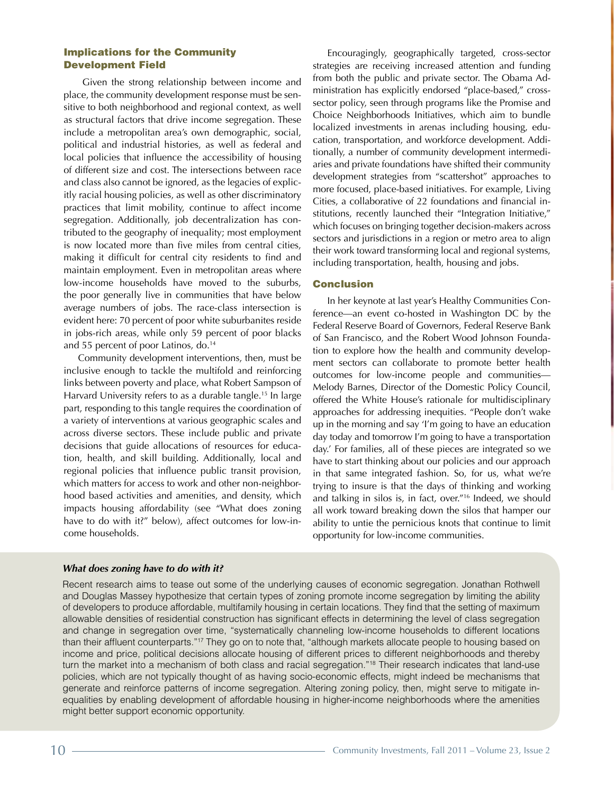### Implications for the Community Development Field

 Given the strong relationship between income and place, the community development response must be sensitive to both neighborhood and regional context, as well as structural factors that drive income segregation. These include a metropolitan area's own demographic, social, political and industrial histories, as well as federal and local policies that influence the accessibility of housing of different size and cost. The intersections between race and class also cannot be ignored, as the legacies of explicitly racial housing policies, as well as other discriminatory practices that limit mobility, continue to affect income segregation. Additionally, job decentralization has contributed to the geography of inequality; most employment is now located more than five miles from central cities, making it difficult for central city residents to find and maintain employment. Even in metropolitan areas where low-income households have moved to the suburbs, the poor generally live in communities that have below average numbers of jobs. The race-class intersection is evident here: 70 percent of poor white suburbanites reside in jobs-rich areas, while only 59 percent of poor blacks and 55 percent of poor Latinos, do.<sup>14</sup>

Community development interventions, then, must be inclusive enough to tackle the multifold and reinforcing links between poverty and place, what Robert Sampson of Harvard University refers to as a durable tangle.15 In large part, responding to this tangle requires the coordination of a variety of interventions at various geographic scales and across diverse sectors. These include public and private decisions that guide allocations of resources for education, health, and skill building. Additionally, local and regional policies that influence public transit provision, which matters for access to work and other non-neighborhood based activities and amenities, and density, which impacts housing affordability (see "What does zoning have to do with it?" below), affect outcomes for low-income households.

Encouragingly, geographically targeted, cross-sector strategies are receiving increased attention and funding from both the public and private sector. The Obama Administration has explicitly endorsed "place-based," crosssector policy, seen through programs like the Promise and Choice Neighborhoods Initiatives, which aim to bundle localized investments in arenas including housing, education, transportation, and workforce development. Additionally, a number of community development intermediaries and private foundations have shifted their community development strategies from "scattershot" approaches to more focused, place-based initiatives. For example, Living Cities, a collaborative of 22 foundations and financial institutions, recently launched their "Integration Initiative," which focuses on bringing together decision-makers across sectors and jurisdictions in a region or metro area to align their work toward transforming local and regional systems, including transportation, health, housing and jobs.

### Conclusion

In her keynote at last year's Healthy Communities Conference—an event co-hosted in Washington DC by the Federal Reserve Board of Governors, Federal Reserve Bank of San Francisco, and the Robert Wood Johnson Foundation to explore how the health and community development sectors can collaborate to promote better health outcomes for low-income people and communities— Melody Barnes, Director of the Domestic Policy Council, offered the White House's rationale for multidisciplinary approaches for addressing inequities. "People don't wake up in the morning and say 'I'm going to have an education day today and tomorrow I'm going to have a transportation day.' For families, all of these pieces are integrated so we have to start thinking about our policies and our approach in that same integrated fashion. So, for us, what we're trying to insure is that the days of thinking and working and talking in silos is, in fact, over."16 Indeed, we should all work toward breaking down the silos that hamper our ability to untie the pernicious knots that continue to limit opportunity for low-income communities.

### *What does zoning have to do with it?*

Recent research aims to tease out some of the underlying causes of economic segregation. Jonathan Rothwell and Douglas Massey hypothesize that certain types of zoning promote income segregation by limiting the ability of developers to produce affordable, multifamily housing in certain locations. They find that the setting of maximum allowable densities of residential construction has significant effects in determining the level of class segregation and change in segregation over time, "systematically channeling low-income households to different locations than their affluent counterparts."17 They go on to note that, "although markets allocate people to housing based on income and price, political decisions allocate housing of different prices to different neighborhoods and thereby turn the market into a mechanism of both class and racial segregation."18 Their research indicates that land-use policies, which are not typically thought of as having socio-economic effects, might indeed be mechanisms that generate and reinforce patterns of income segregation. Altering zoning policy, then, might serve to mitigate inequalities by enabling development of affordable housing in higher-income neighborhoods where the amenities might better support economic opportunity.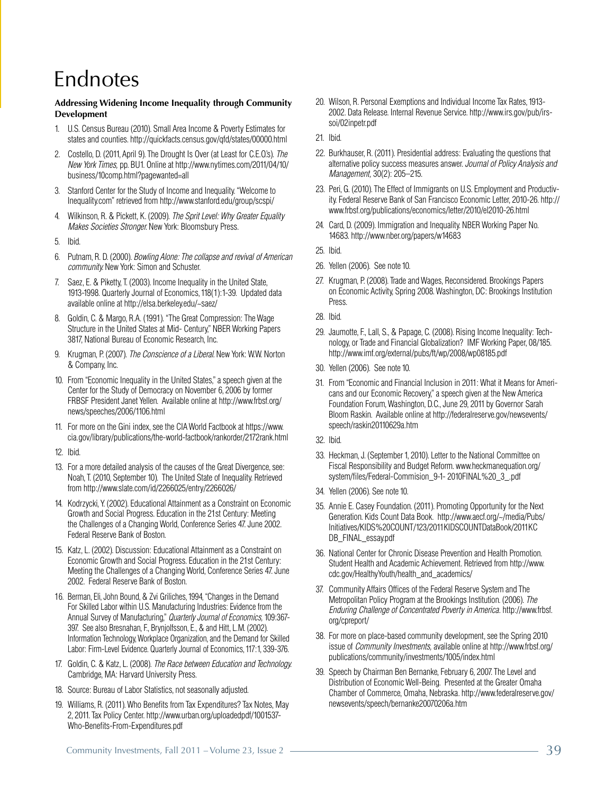## Endnotes

### **Addressing Widening Income Inequality through Community Development**

- 1. U.S. Census Bureau (2010). Small Area Income & Poverty Estimates for states and counties. http://quickfacts.census.gov/qfd/states/00000.html
- 2. Costello, D. (2011, April 9). The Drought Is Over (at Least for C.E.O.'s). *The New York Times,* pp. BU1. Online at http://www.nytimes.com/2011/04/10/ business/10comp.html?pagewanted=all
- 3. Stanford Center for the Study of Income and Inequality."Welcome to Inequality.com" retrieved from http://www.stanford.edu/group/scspi/
- 4. Wilkinson, R. & Pickett, K. (2009). *The Sprit Level: Why Greater Equality Makes Societies Stronger.* New York: Bloomsbury Press.
- 5. Ibid.
- 6. Putnam, R. D. (2000). *Bowling Alone: The collapse and revival of American community.* New York: Simon and Schuster.
- 7. Saez, E. & Piketty, T. (2003). Income Inequality in the United State, 1913-1998. Quarterly Journal of Economics,118(1):1-39. Updated data available online at http://elsa.berkeley.edu/~saez/
- 8. Goldin, C. & Margo, R.A. (1991)."The Great Compression: The Wage Structure in the United States at Mid- Century," NBER Working Papers 3817, National Bureau of Economic Research, Inc.
- 9. Krugman, P. (2007). *The Conscience of a Liberal.* New York: W.W. Norton & Company, Inc.
- 10. From "Economic Inequality in the United States," a speech given at the Center for the Study of Democracy on November 6, 2006 by former FRBSF President Janet Yellen. Available online at http://www.frbsf.org/ news/speeches/2006/1106.html
- 11. For more on the Gini index, see the CIA World Factbook at https://www. cia.gov/library/publications/the-world-factbook/rankorder/2172rank.html
- 12. Ibid.
- 13. For a more detailed analysis of the causes of the Great Divergence, see: Noah, T. (2010, September 10). The United State of Inequality. Retrieved from http://www.slate.com/id/2266025/entry/2266026/
- 14. Kodrzycki, Y. (2002). Educational Attainment as a Constraint on Economic Growth and Social Progress. Education in the 21st Century: Meeting the Challenges of a Changing World, Conference Series 47.June 2002. Federal Reserve Bank of Boston.
- 15. Katz, L. (2002). Discussion: Educational Attainment as a Constraint on Economic Growth and Social Progress. Education in the 21st Century: Meeting the Challenges of a Changing World, Conference Series 47.June 2002. Federal Reserve Bank of Boston.
- 16. Berman, Eli, John Bound, & Zvi Griliches, 1994, "Changes in the Demand For Skilled Labor within U.S. Manufacturing Industries: Evidence from the Annual Survey of Manufacturing," *Quarterly Journal of Economics,* 109:367- 397. See also Bresnahan, F., Brynjolfsson, E., & and Hitt, L.M. (2002). Information Technology, Workplace Organization, and the Demand for Skilled Labor: Firm-Level Evidence. Quarterly Journal of Economics, 117:1, 339-376.
- 17. Goldin, C. & Katz, L. (2008). *The Race between Education and Technology.*  Cambridge, MA: Harvard University Press.
- 18. Source: Bureau of Labor Statistics, not seasonally adjusted.
- 19. Williams, R. (2011). Who Benefits from Tax Expenditures? Tax Notes, May 2, 2011. Tax Policy Center. http://www.urban.org/uploadedpdf/1001537- Who-Benefits-From-Expenditures.pdf
	- Community Investments, Fall 2011 Volume 23, Issue 2  $\sim$  39
- 20. Wilson, R. Personal Exemptions and Individual Income Tax Rates, 1913-2002. Data Release. Internal Revenue Service. http://www.irs.gov/pub/irssoi/02inpetr.pdf
- 21. Ibid.
- 22. Burkhauser, R. (2011). Presidential address: Evaluating the questions that alternative policy success measures answer.*Journal of Policy Analysis and Management,* 30(2): 205–215.
- 23. Peri, G. (2010). The Effect of Immigrants on U.S. Employment and Productivity. Federal Reserve Bank of San Francisco Economic Letter, 2010-26. http:// www.frbsf.org/publications/economics/letter/2010/el2010-26.html
- 24. Card, D. (2009). Immigration and Inequality. NBER Working Paper No. 14683. http://www.nber.org/papers/w14683
- 25. Ibid.
- 26. Yellen (2006). See note 10.
- 27. Krugman, P. (2008). Trade and Wages, Reconsidered. Brookings Papers on Economic Activity, Spring 2008.Washington, DC: Brookings Institution Press.
- 28. Ibid.
- 29. Jaumotte, F., Lall, S., & Papage, C. (2008). Rising Income Inequality: Technology, or Trade and Financial Globalization? IMF Working Paper, 08/185. http://www.imf.org/external/pubs/ft/wp/2008/wp08185.pdf
- 30. Yellen (2006). See note 10.
- 31. From "Economic and Financial Inclusion in 2011: What it Means for Americans and our Economic Recovery,"a speech given at the New America Foundation Forum, Washington, D.C., June 29, 2011 by Governor Sarah Bloom Raskin. Available online at http://federalreserve.gov/newsevents/ speech/raskin20110629a.htm
- 32. Ibid.
- 33. Heckman, J. (September 1, 2010). Letter to the National Committee on Fiscal Responsibility and Budget Reform. www.heckmanequation.org/ system/files/Federal-Commision\_9-1- 2010FINAL%20\_3\_.pdf
- 34. Yellen (2006). See note 10.
- 35. Annie E. Casey Foundation. (2011). Promoting Opportunity for the Next Generation. Kids Count Data Book. http://www.aecf.org/~/media/Pubs/ Initiatives/KIDS%20COUNT/123/2011KIDSCOUNTDataBook/2011KC DB\_FINAL\_essay.pdf
- 36. National Center for Chronic Disease Prevention and Health Promotion. Student Health and Academic Achievement. Retrieved from http://www. cdc.gov/HealthyYouth/health\_and\_academics/
- 37. Community Affairs Offices of the Federal Reserve System and The Metropolitan Policy Program at the Brookings Institution. (2006). *The Enduring Challenge of Concentrated Poverty in America.* http://www.frbsf. org/cpreport/
- 38. For more on place-based community development, see the Spring 2010 issue of *Community Investments,* available online at http://www.frbsf.org/ publications/community/investments/1005/index.html
- 39. Speech by Chairman Ben Bernanke, February 6, 2007. The Level and Distribution of Economic Well-Being. Presented at the Greater Omaha Chamber of Commerce, Omaha, Nebraska. http://www.federalreserve.gov/ newsevents/speech/bernanke20070206a.htm